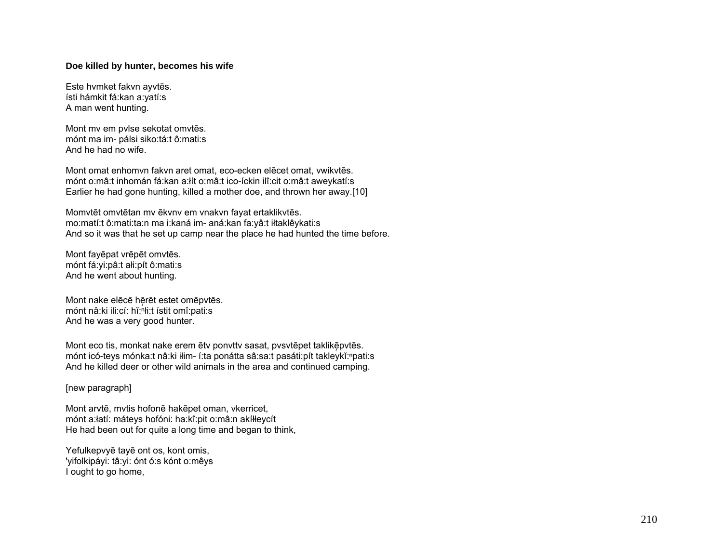## **Doe killed by hunter, becomes his wife**

Este hvmket fakvn ayvt ēs. ísti hámkit fá:kan a:yatí:s A man went hunting.

Mont mv em pvlse sekotat omvt ēs. mónt ma im- pálsi siko:tá:t ô:mati:s And he had no wife.

Mont omat enhomvn fakvn aret omat, eco-ecken el ēcet omat, vwikvt ēs. mónt o:mâ:t inhomán fá:kan a:łít o:mâ:t ico-íckin ilî:cit o:mâ:t aweykatí:s Earlier he had gone hunting, killed a mother doe, and thrown her away.[10]

Momvtēt omvtētan mv ēkvnv em vnakvn fayat ertaklikvtēs. mo:matí:t ô:mati:ta:n ma i:kaná im- aná:kan fa:yâ:t iłtaklêykati:s And so it was that he set up camp near the place he had hunted the time before.

Mont fay ēpat vr ē p ēt omvt ēs. mónt fá:yi:pâ:t ałi:pít ô:mati:s And he went about hunting.

Mont nake elēcē hērēt estet omēpvtēs. mónt nâ:ki ili:cí: hĭ:ⁿłi:t ístit omî:pati:s And he was a very good hunter.

Mont eco tis, monkat nake erem ētv ponvttv sasat, pvsvtēpet taklikēpvtēs. mónt icó-teys mónka:t nâ:ki iłim- í:ta ponátta sâ:sa:t pasáti:pít takleykĭ:<sup>n</sup>pati:s And he killed deer or other wild animals in the area and continued camping.

[new paragraph]

Mont arvt ē, mvtis hofon ē hak ēpet oman, vkerricet, mónt a:łatí: máteys hofóni: ha:kî:pit o:mâ:n akíłłeycít He had been out for quite a long time and began to think,

Yefulkepvy ē tay ē ont os, kont omis, 'yifolkipáyi: tâ:yi: ónt ó:s kónt o:mêys I ought to go home,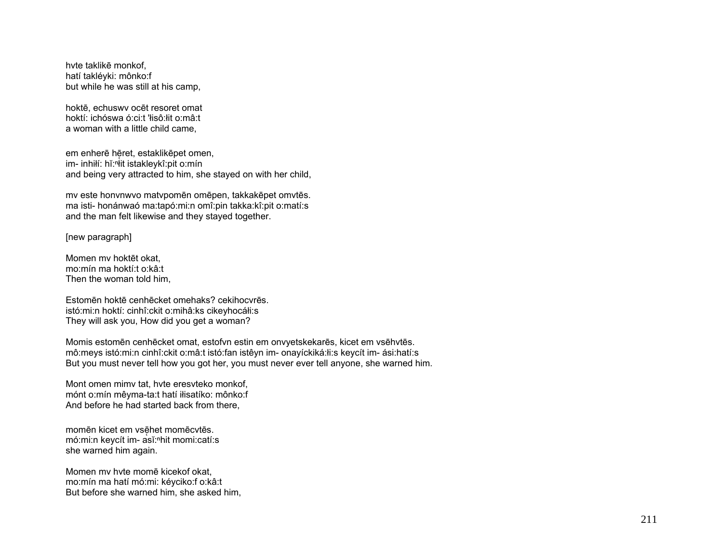hvte taklikē monkof, hatí takléyki: mônko:f but while he was still at his camp.

hoktē, echuswy ocēt resoret omat hoktí: ichóswa ó: ci: t'isô: lit o: mâ: t a woman with a little child came.

em enherē hēret, estaklikēpet omen, im- inhilf: hĭ:<sup>n</sup>it istakleykî:pit o:mín and being very attracted to him, she stayed on with her child,

my este honynwyo matypomēn omēpen, takkakēpet omytēs. ma isti- honánwaó ma:tapó:mi:n omî:pin takka:kî:pit o:matí:s and the man felt likewise and they stayed together.

[new paragraph]

Momen my hoktēt okat. mo:mín ma hoktí:t o:kâ:t Then the woman told him.

Estomēn hoktē cenhēcket omehaks? cekihocyrēs. istó:mi:n hoktí: cinhî:ckit o:mihâ:ks cikeyhocáłi:s They will ask you, How did you get a woman?

Momis estomēn cenhēcket omat, estofyn estin em onvyetskekarēs, kicet em vsēhvtēs. mô:meys istó:mi:n cinhî:ckit o:mâ:t istó:fan istêyn im- onayíckiká:łi:s keycít im- ási:hatí:s But you must never tell how you got her, you must never ever tell anyone, she warned him.

Mont omen mimy tat, hyte eresyteko monkof, mónt o:mín mêyma-ta:t hatí iłisatíko: mônko:f And before he had started back from there,

momēn kicet em vsēhet momēcvtēs. mó:mi:n keycít im- asĭ:nhit momi:catí:s she warned him again.

Momen my hyte mome kicekof okat. mo: mín ma hatí mó: mi: kéyciko: fo: kâ: t But before she warned him, she asked him,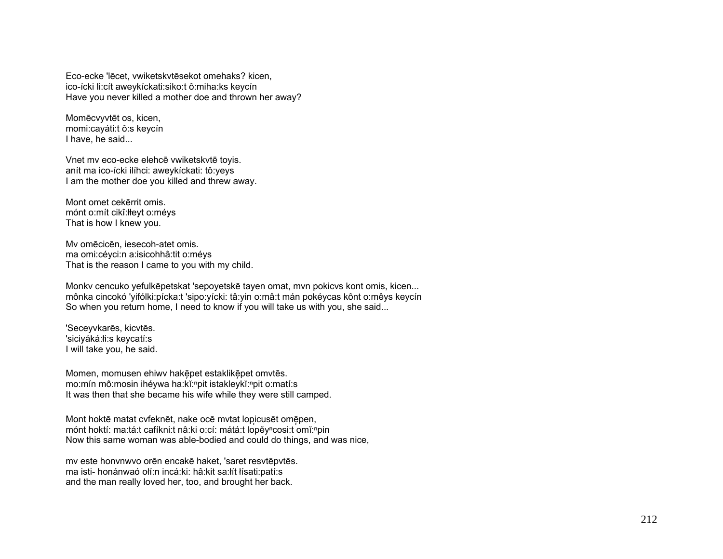Eco-ecke 'lecet, ywiketskytesekot omehaks? kicen. ico-ícki li:cít aweykíckati:siko:t ô:miha:ks keycín Have you never killed a mother doe and thrown her away?

Momēcvyvtēt os, kicen, momi:cayáti:t ô:s keycín I have, he said...

Vnet mv eco-ecke elehcē vwiketskytē toyis. anít ma ico-ícki ilíhci: aweykíckati: tô:yeys I am the mother doe you killed and threw away.

Mont omet cekerrit omis. mónt o: mít cikî: Heyt o: méys That is how I knew you.

My omēcicēn, iesecoh-atet omis. ma omi: céyci: n a: isicohhâ: tit o: méys That is the reason I came to you with my child.

Monky cencuko yefulkēpetskat 'sepoyetskē tayen omat, myn pokicys kont omis, kicen... mônka cincokó 'yifólki:pícka:t 'sipo:yícki: tâ:yin o:mâ:t mán pokéycas kônt o:mêys keycín So when you return home. I need to know if you will take us with you, she said...

'Seceyvkarēs, kicvtēs. 'siciváká:łi:s keycatí:s I will take you, he said.

Momen, momusen ehiwy hakepet estaklikepet omvtes. mo:mín mô:mosin ihéywa ha:kǐ:<sup>n</sup>pit istakleykǐ:<sup>n</sup>pit o:matí:s It was then that she became his wife while they were still camped.

Mont hoktē matat cyfeknēt, nake ocē mytat lopicusēt omēpen, mónt hoktí: ma:tá:t cafíkni:t nâ:ki o:cí: mátá:t lopěy<sup>n</sup>cosi:t omĭ:npin Now this same woman was able-bodied and could do things, and was nice,

my este honynwyo orên encakê haket, 'saret resytêpytês. ma isti- honánwaó olí:n incá:ki: hâ:kit sa:lít lísati:patí:s and the man really loved her, too, and brought her back.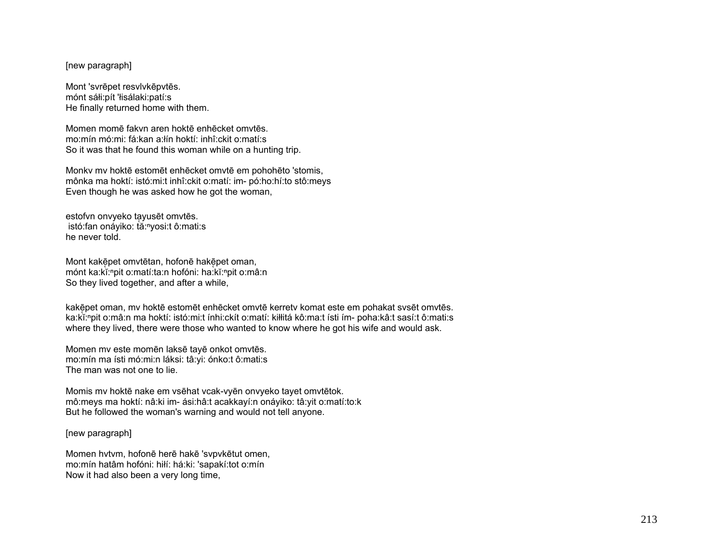## [new paragraph]

Mont 'svrēpet resvlvkēpvtēs. mónt sáłi:pít 'łisálaki:patí:s He finally returned home with them.

Momen momē fakvn aren hoktē enhēcket omvtēs. mo:mín mó:mi: fá:kan a:łín hoktí: inhî:ckit o:matí:s So it was that he found this woman while on a hunting trip.

Monkv mv hoktē estomēt enhēcket omvtē em pohohēto 'stomis, mônka ma hoktí: istó:mi:t inhî:ckit o:matí: im- pó:ho:hí:to stô:meys Even though he was asked how he got the woman,

estofvn onvyeko ta̜yusēt omvtēs. istó:fan onáyiko: tă:<sup>n</sup>yosi:t ô:mati:s he never told.

Mont kakē̞pet omvtētan, hofonē hakē̞pet oman, mónt ka:kĭ:<sup>ⁿ</sup>pit o:matí:ta:n hofóni: ha:kĭ:<sup>ⁿ</sup>pit o:mâ:n So they lived together, and after a while,

kakē̞pet oman, mv hoktē estomēt enhēcket omvtē kerretv komat este em pohakat svsēt omvtēs. ka:kĭ:"pit o:mâ:n ma hoktí: istó:mi:t ínhi:ckít o:matí: kiłłitá kô:ma:t ísti ím- poha:kâ:t sasí:t ô:mati:s where they lived, there were those who wanted to know where he got his wife and would ask.

Momen mv este momēn laksē tayē onkot omvtēs. mo:mín ma ísti mó:mi:n láksi: tâ:yi: ónko:t ô:mati:s The man was not one to lie.

Momis mv hoktē nake em vsēhat vcak-vyēn onvyeko tayet omvtētok. mô:meys ma hoktí: nâ:ki im- ási:hâ:t acakkayí:n onáyiko: tâ:yit o:matí:to:k But he followed the woman's warning and would not tell anyone.

## [new paragraph]

Momen hvtvm, hofonē herē hakē 'svpvkētut omen, mo:mín hatâm hofóni: hiłí: há:ki: 'sapakí:tot o:mín Now it had also been a very long time,